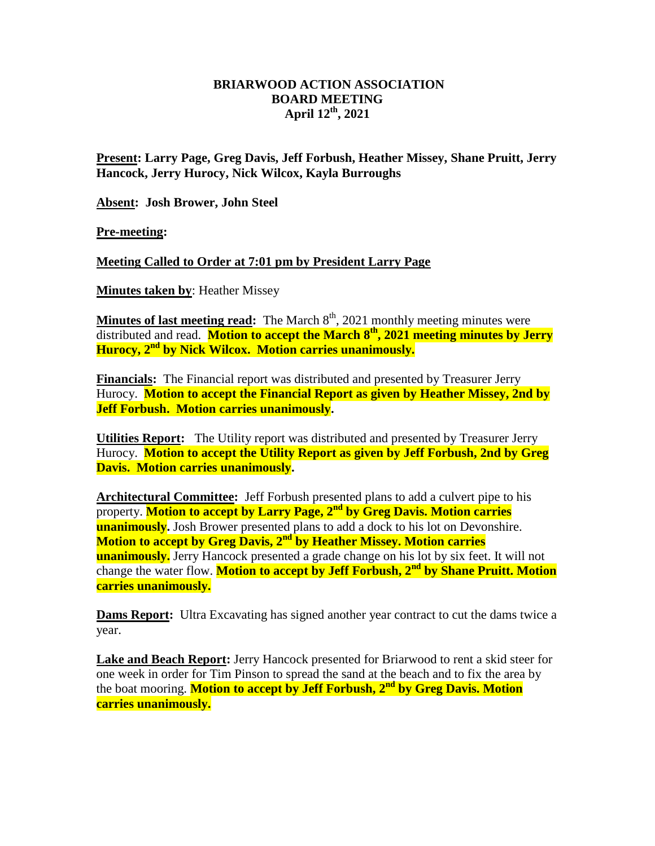## **BRIARWOOD ACTION ASSOCIATION BOARD MEETING April 12th, 2021**

**Present: Larry Page, Greg Davis, Jeff Forbush, Heather Missey, Shane Pruitt, Jerry Hancock, Jerry Hurocy, Nick Wilcox, Kayla Burroughs**

**Absent: Josh Brower, John Steel**

**Pre-meeting:** 

**Meeting Called to Order at 7:01 pm by President Larry Page**

**Minutes taken by**: Heather Missey

**Minutes of last meeting read:** The March 8<sup>th</sup>, 2021 monthly meeting minutes were distributed and read. **Motion to accept the March 8 th, 2021 meeting minutes by Jerry Hurocy, 2nd by Nick Wilcox. Motion carries unanimously.**

**Financials:** The Financial report was distributed and presented by Treasurer Jerry Hurocy. **Motion to accept the Financial Report as given by Heather Missey, 2nd by Jeff Forbush. Motion carries unanimously.** 

**Utilities Report:** The Utility report was distributed and presented by Treasurer Jerry Hurocy. **Motion to accept the Utility Report as given by Jeff Forbush, 2nd by Greg Davis. Motion carries unanimously.** 

**Architectural Committee:** Jeff Forbush presented plans to add a culvert pipe to his property. **Motion to accept by Larry Page, 2nd by Greg Davis. Motion carries unanimously.** Josh Brower presented plans to add a dock to his lot on Devonshire. **Motion to accept by Greg Davis, 2nd by Heather Missey. Motion carries unanimously.** Jerry Hancock presented a grade change on his lot by six feet. It will not change the water flow. **Motion to accept by Jeff Forbush, 2nd by Shane Pruitt. Motion carries unanimously.**

**Dams Report:** Ultra Excavating has signed another year contract to cut the dams twice a year.

**Lake and Beach Report:** Jerry Hancock presented for Briarwood to rent a skid steer for one week in order for Tim Pinson to spread the sand at the beach and to fix the area by the boat mooring. **Motion to accept by Jeff Forbush, 2 nd by Greg Davis. Motion carries unanimously.**